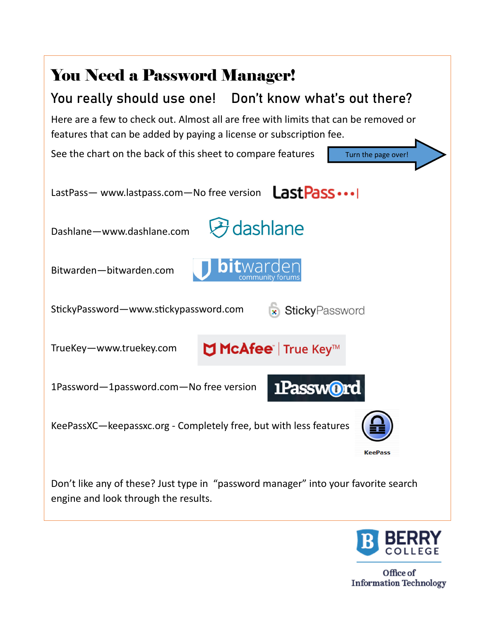



Office of **Information Technology**